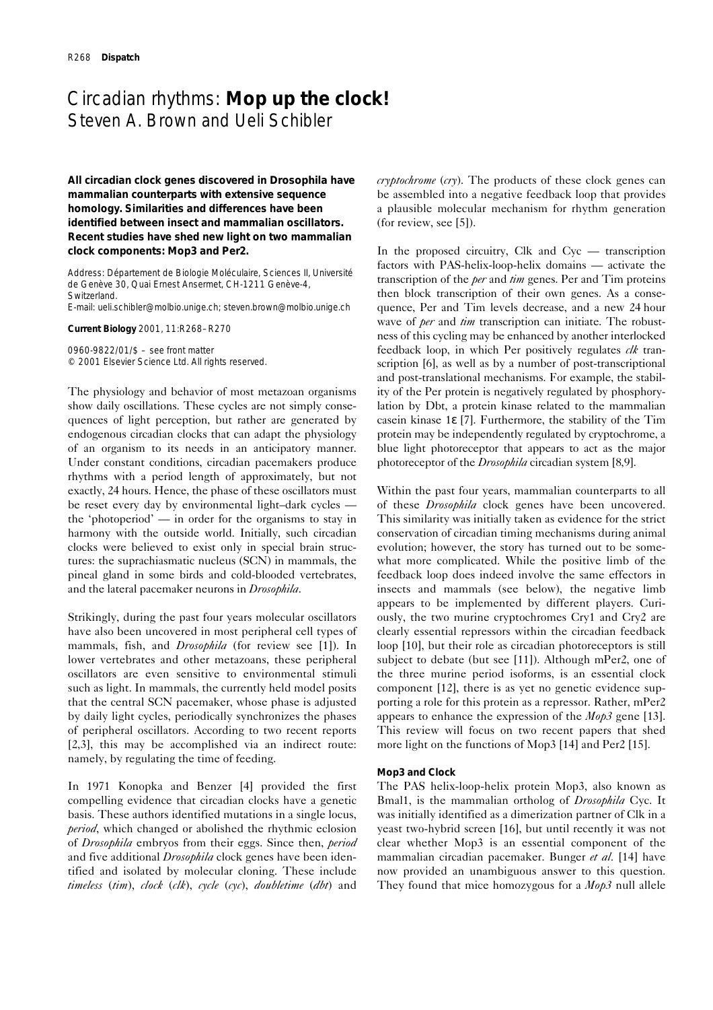# Circadian rhythms: **Mop up the clock!**  Steven A. Brown and Ueli Schibler

**All circadian clock genes discovered in** *Drosophila* **have mammalian counterparts with extensive sequence homology. Similarities and differences have been identified between insect and mammalian oscillators. Recent studies have shed new light on two mammalian clock components: Mop3 and Per2.**

Address: Département de Biologie Moléculaire, Sciences II, Université de Genève 30, Quai Ernest Ansermet, CH-1211 Genève-4, Switzerland.

E-mail: ueli.schibler@molbio.unige.ch; steven.brown@molbio.unige.ch

**Current Biology** 2001, 11:R268–R270

0960-9822/01/\$ – see front matter © 2001 Elsevier Science Ltd. All rights reserved.

The physiology and behavior of most metazoan organisms show daily oscillations. These cycles are not simply consequences of light perception, but rather are generated by endogenous circadian clocks that can adapt the physiology of an organism to its needs in an anticipatory manner. Under constant conditions, circadian pacemakers produce rhythms with a period length of approximately, but not exactly, 24 hours. Hence, the phase of these oscillators must be reset every day by environmental light–dark cycles the 'photoperiod' — in order for the organisms to stay in harmony with the outside world. Initially, such circadian clocks were believed to exist only in special brain structures: the suprachiasmatic nucleus (SCN) in mammals, the pineal gland in some birds and cold-blooded vertebrates, and the lateral pacemaker neurons in *Drosophila*.

Strikingly, during the past four years molecular oscillators have also been uncovered in most peripheral cell types of mammals, fish, and *Drosophila* (for review see [1]). In lower vertebrates and other metazoans, these peripheral oscillators are even sensitive to environmental stimuli such as light. In mammals, the currently held model posits that the central SCN pacemaker, whose phase is adjusted by daily light cycles, periodically synchronizes the phases of peripheral oscillators. According to two recent reports [2,3], this may be accomplished via an indirect route: namely, by regulating the time of feeding.

In 1971 Konopka and Benzer [4] provided the first compelling evidence that circadian clocks have a genetic basis. These authors identified mutations in a single locus, *period*, which changed or abolished the rhythmic eclosion of *Drosophila* embryos from their eggs. Since then, *period* and five additional *Drosophila* clock genes have been identified and isolated by molecular cloning. These include *timeless* (*tim*), *clock* (*clk*), *cycle* (*cyc*), *doubletime* (*dbt*) and *cryptochrome* (*cry*). The products of these clock genes can be assembled into a negative feedback loop that provides a plausible molecular mechanism for rhythm generation (for review, see [5]).

In the proposed circuitry, Clk and Cyc — transcription factors with PAS-helix-loop-helix domains — activate the transcription of the *per* and *tim* genes. Per and Tim proteins then block transcription of their own genes. As a consequence, Per and Tim levels decrease, and a new 24 hour wave of *per* and *tim* transcription can initiate. The robustness of this cycling may be enhanced by another interlocked feedback loop, in which Per positively regulates *clk* transcription [6], as well as by a number of post-transcriptional and post-translational mechanisms. For example, the stability of the Per protein is negatively regulated by phosphorylation by Dbt, a protein kinase related to the mammalian casein kinase 1ε [7]. Furthermore, the stability of the Tim protein may be independently regulated by cryptochrome, a blue light photoreceptor that appears to act as the major photoreceptor of the *Drosophila* circadian system [8,9].

Within the past four years, mammalian counterparts to all of these *Drosophila* clock genes have been uncovered. This similarity was initially taken as evidence for the strict conservation of circadian timing mechanisms during animal evolution; however, the story has turned out to be somewhat more complicated. While the positive limb of the feedback loop does indeed involve the same effectors in insects and mammals (see below), the negative limb appears to be implemented by different players. Curiously, the two murine cryptochromes Cry1 and Cry2 are clearly essential repressors within the circadian feedback loop [10], but their role as circadian photoreceptors is still subject to debate (but see [11]). Although mPer2, one of the three murine period isoforms, is an essential clock component [12], there is as yet no genetic evidence supporting a role for this protein as a repressor. Rather, mPer2 appears to enhance the expression of the *Mop3* gene [13]. This review will focus on two recent papers that shed more light on the functions of Mop3 [14] and Per2 [15].

#### **Mop3 and Clock**

The PAS helix-loop-helix protein Mop3, also known as Bmal1, is the mammalian ortholog of *Drosophila* Cyc. It was initially identified as a dimerization partner of Clk in a yeast two-hybrid screen [16], but until recently it was not clear whether Mop3 is an essential component of the mammalian circadian pacemaker. Bunger *et al.* [14] have now provided an unambiguous answer to this question. They found that mice homozygous for a *Mop3* null allele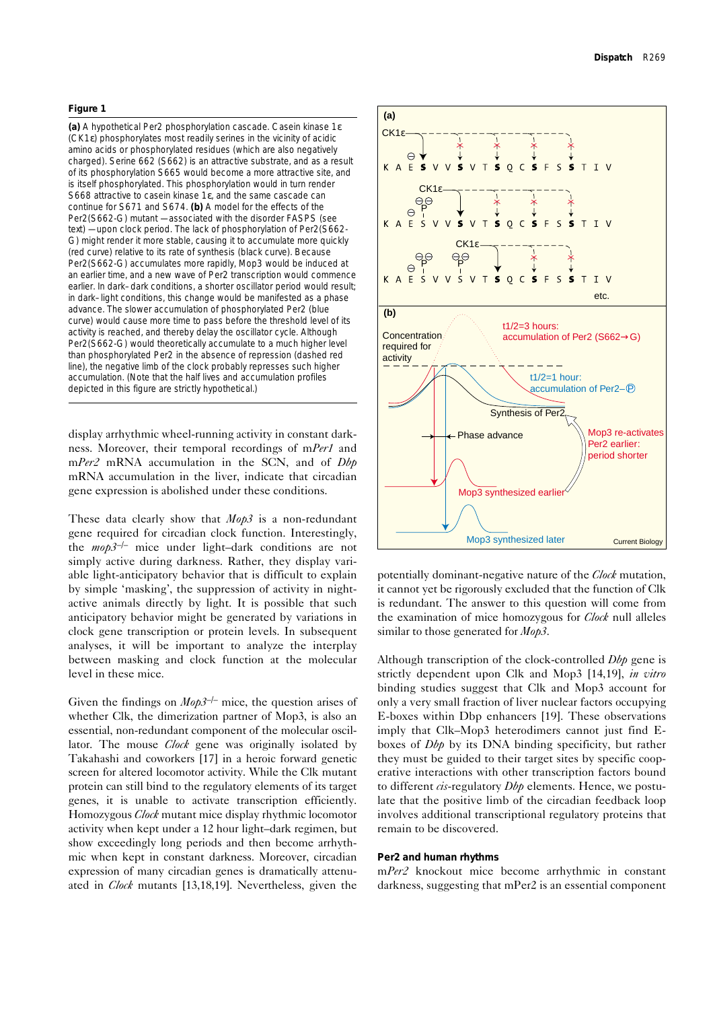### **Figure 1**

**(a)** A hypothetical Per2 phosphorylation cascade. Casein kinase 1ε (CK1ε) phosphorylates most readily serines in the vicinity of acidic amino acids or phosphorylated residues (which are also negatively charged). Serine 662 (S662) is an attractive substrate, and as a result of its phosphorylation S665 would become a more attractive site, and is itself phosphorylated. This phosphorylation would in turn render S668 attractive to casein kinase 1ε, and the same cascade can continue for S671 and S674. **(b)** A model for the effects of the Per2(S662-G) mutant — associated with the disorder FASPS (see text) — upon clock period. The lack of phosphorylation of Per2(S662- G) might render it more stable, causing it to accumulate more quickly (red curve) relative to its rate of synthesis (black curve). Because Per2(S662-G) accumulates more rapidly, Mop3 would be induced at an earlier time, and a new wave of *Per2* transcription would commence earlier. In dark–dark conditions, a shorter oscillator period would result; in dark–light conditions, this change would be manifested as a phase advance. The slower accumulation of phosphorylated Per2 (blue curve) would cause more time to pass before the threshold level of its activity is reached, and thereby delay the oscillator cycle. Although Per2(S662-G) would theoretically accumulate to a much higher level than phosphorylated Per2 in the absence of repression (dashed red line), the negative limb of the clock probably represses such higher accumulation. (Note that the half lives and accumulation profiles depicted in this figure are strictly hypothetical.)

display arrhythmic wheel-running activity in constant darkness. Moreover, their temporal recordings of m*Per1* and m*Per2* mRNA accumulation in the SCN, and of *Dbp* mRNA accumulation in the liver, indicate that circadian gene expression is abolished under these conditions.

These data clearly show that *Mop3* is a non-redundant gene required for circadian clock function. Interestingly, the *mop3*–/– mice under light–dark conditions are not simply active during darkness. Rather, they display variable light-anticipatory behavior that is difficult to explain by simple 'masking', the suppression of activity in nightactive animals directly by light. It is possible that such anticipatory behavior might be generated by variations in clock gene transcription or protein levels. In subsequent analyses, it will be important to analyze the interplay between masking and clock function at the molecular level in these mice.

Given the findings on  $Mop3^{-/-}$  mice, the question arises of whether Clk, the dimerization partner of Mop3, is also an essential, non-redundant component of the molecular oscillator. The mouse *Clock* gene was originally isolated by Takahashi and coworkers [17] in a heroic forward genetic screen for altered locomotor activity. While the Clk mutant protein can still bind to the regulatory elements of its target genes, it is unable to activate transcription efficiently. Homozygous *Clock* mutant mice display rhythmic locomotor activity when kept under a 12hour light–dark regimen, but show exceedingly long periods and then become arrhythmic when kept in constant darkness. Moreover, circadian expression of many circadian genes is dramatically attenuated in *Clock* mutants [13,18,19]. Nevertheless, given the



potentially dominant-negative nature of the *Clock* mutation, it cannot yet be rigorously excluded that the function of Clk is redundant. The answer to this question will come from the examination of mice homozygous for *Clock* null alleles similar to those generated for *Mop3*.

Although transcription of the clock-controlled *Dbp* gene is strictly dependent upon Clk and Mop3 [14,19], *in vitro* binding studies suggest that Clk and Mop3 account for only a very small fraction of liver nuclear factors occupying E-boxes within Dbp enhancers [19]. These observations imply that Clk–Mop3 heterodimers cannot just find Eboxes of *Dbp* by its DNA binding specificity, but rather they must be guided to their target sites by specific cooperative interactions with other transcription factors bound to different *cis*-regulatory *Dbp* elements. Hence, we postulate that the positive limb of the circadian feedback loop involves additional transcriptional regulatory proteins that remain to be discovered.

## **Per2 and human rhythms**

m*Per2* knockout mice become arrhythmic in constant darkness, suggesting that mPer2 is an essential component